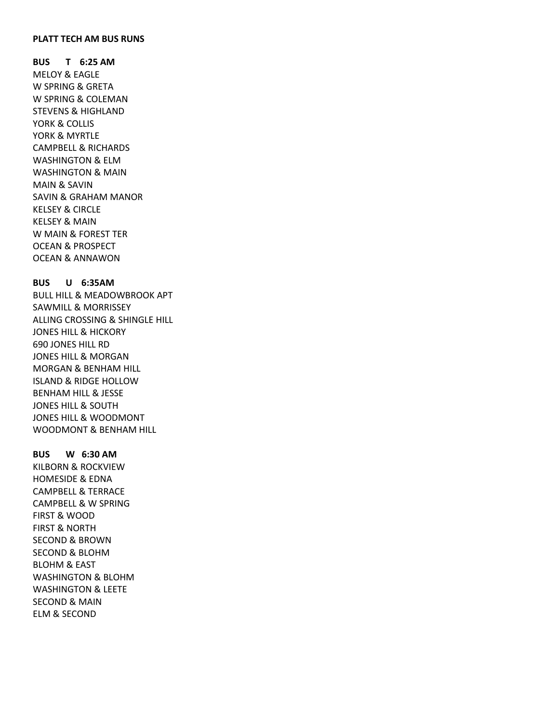### **PLATT TECH AM BUS RUNS**

**BUS T 6:25 AM** MELOY & EAGLE W SPRING & GRETA W SPRING & COLEMAN STEVENS & HIGHLAND YORK & COLLIS YORK & MYRTLE CAMPBELL & RICHARDS WASHINGTON & ELM WASHINGTON & MAIN MAIN & SAVIN SAVIN & GRAHAM MANOR KELSEY & CIRCLE KELSEY & MAIN W MAIN & FOREST TER OCEAN & PROSPECT OCEAN & ANNAWON

# **BUS U 6:35AM**

BULL HILL & MEADOWBROOK APT SAWMILL & MORRISSEY ALLING CROSSING & SHINGLE HILL JONES HILL & HICKORY 690 JONES HILL RD JONES HILL & MORGAN MORGAN & BENHAM HILL ISLAND & RIDGE HOLLOW BENHAM HILL & JESSE JONES HILL & SOUTH JONES HILL & WOODMONT WOODMONT & BENHAM HILL

## **BUS W 6:30 AM**

KILBORN & ROCKVIEW HOMESIDE & EDNA CAMPBELL & TERRACE CAMPBELL & W SPRING FIRST & WOOD FIRST & NORTH SECOND & BROWN SECOND & BLOHM BLOHM & EAST WASHINGTON & BLOHM WASHINGTON & LEETE SECOND & MAIN ELM & SECOND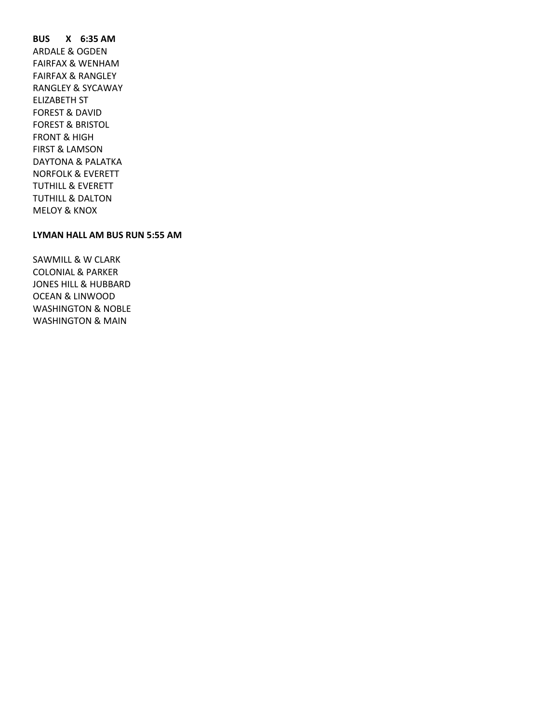**BUS X 6:35 AM** ARDALE & OGDEN FAIRFAX & WENHAM FAIRFAX & RANGLEY RANGLEY & SYCAWAY ELIZABETH ST FOREST & DAVID FOREST & BRISTOL FRONT & HIGH FIRST & LAMSON DAYTONA & PALATKA NORFOLK & EVERETT TUTHILL & EVERETT TUTHILL & DALTON MELOY & KNOX

## **LYMAN HALL AM BUS RUN 5:55 AM**

SAWMILL & W CLARK COLONIAL & PARKER JONES HILL & HUBBARD OCEAN & LINWOOD WASHINGTON & NOBLE WASHINGTON & MAIN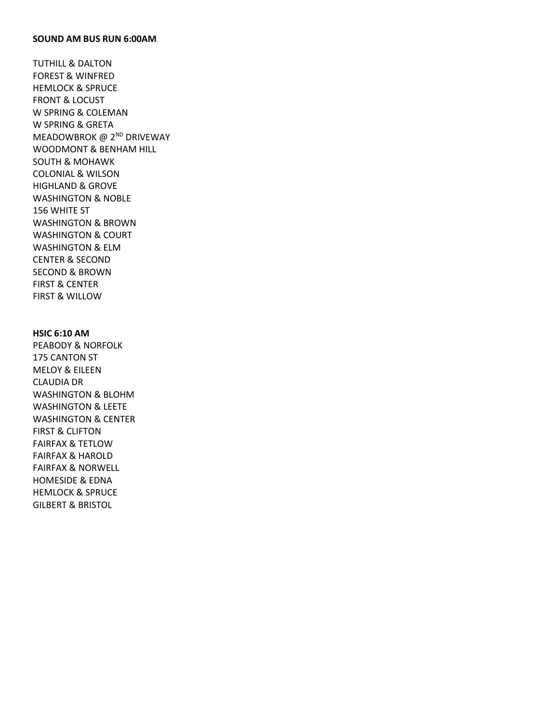#### **SOUND AM BUS RUN 6:00AM**

TUTHILL & DALTON FOREST & WINFRED HEMLOCK & SPRUCE FRONT & LOCUST W SPRING & COLEMAN W SPRING & GRETA MEADOWBROK @ 2<sup>ND</sup> DRIVEWAY WOODMONT & BENHAM HILL SOUTH & MOHAWK COLONIAL & WILSON HIGHLAND & GROVE WASHINGTON & NOBLE 156 WHITE ST WASHINGTON & BROWN WASHINGTON & COURT WASHINGTON & ELM CENTER & SECOND SECOND & BROWN FIRST & CENTER FIRST & WILLOW

### **HSIC 6:10 AM**

PEABODY & NORFOLK 175 CANTON ST MELOY & EILEEN CLAUDIA DR WASHINGTON & BLOHM WASHINGTON & LEETE WASHINGTON & CENTER FIRST & CLIFTON FAIRFAX & TETLOW FAIRFAX & HAROLD FAIRFAX & NORWELL HOMESIDE & EDNA HEMLOCK & SPRUCE GILBERT & BRISTOL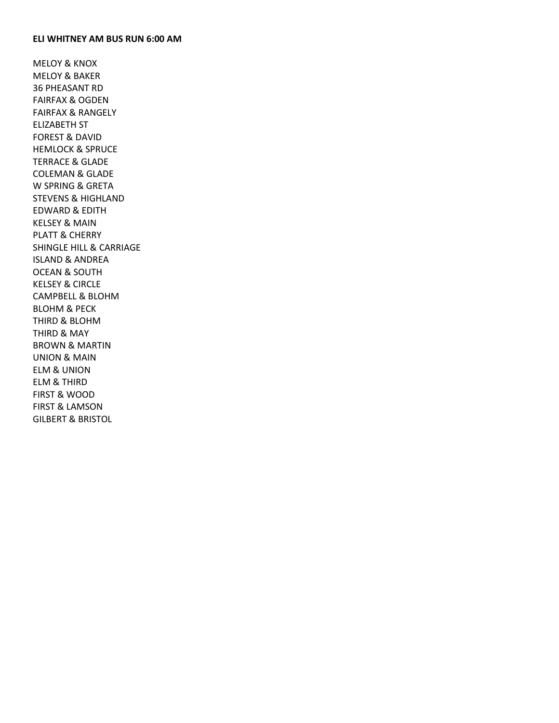#### **ELI WHITNEY AM BUS RUN 6:00 AM**

MELOY & KNOX MELOY & BAKER 36 PHEASANT RD FAIRFAX & OGDEN FAIRFAX & RANGELY ELIZABETH ST FOREST & DAVID HEMLOCK & SPRUCE TERRACE & GLADE COLEMAN & GLADE W SPRING & GRETA STEVENS & HIGHLAND EDWARD & EDITH KELSEY & MAIN PLATT & CHERRY SHINGLE HILL & CARRIAGE ISLAND & ANDREA OCEAN & SOUTH KELSEY & CIRCLE CAMPBELL & BLOHM BLOHM & PECK THIRD & BLOHM THIRD & MAY BROWN & MARTIN UNION & MAIN ELM & UNION ELM & THIRD FIRST & WOOD FIRST & LAMSON GILBERT & BRISTOL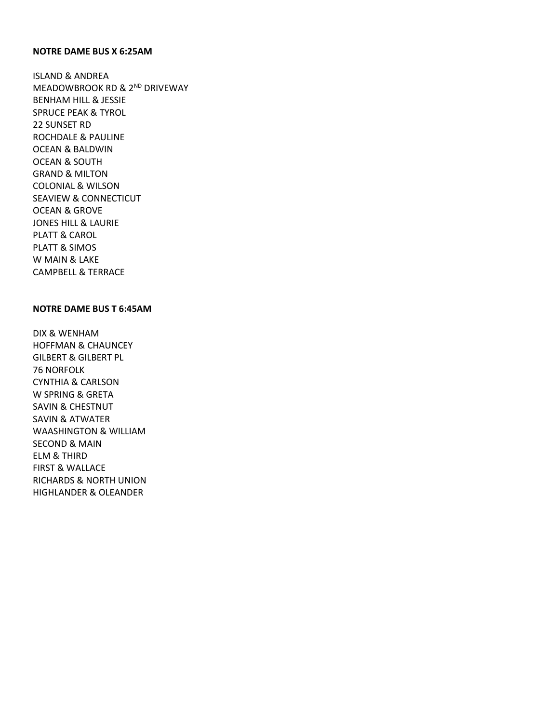## **NOTRE DAME BUS X 6:25AM**

ISLAND & ANDREA MEADOWBROOK RD & 2<sup>ND</sup> DRIVEWAY BENHAM HILL & JESSIE SPRUCE PEAK & TYROL 22 SUNSET RD ROCHDALE & PAULINE OCEAN & BALDWIN OCEAN & SOUTH GRAND & MILTON COLONIAL & WILSON SEAVIEW & CONNECTICUT OCEAN & GROVE JONES HILL & LAURIE PLATT & CAROL PLATT & SIMOS W MAIN & LAKE CAMPBELL & TERRACE

### **NOTRE DAME BUS T 6:45AM**

DIX & WENHAM HOFFMAN & CHAUNCEY GILBERT & GILBERT PL 76 NORFOLK CYNTHIA & CARLSON W SPRING & GRETA SAVIN & CHESTNUT SAVIN & ATWATER WAASHINGTON & WILLIAM SECOND & MAIN ELM & THIRD FIRST & WALLACE RICHARDS & NORTH UNION HIGHLANDER & OLEANDER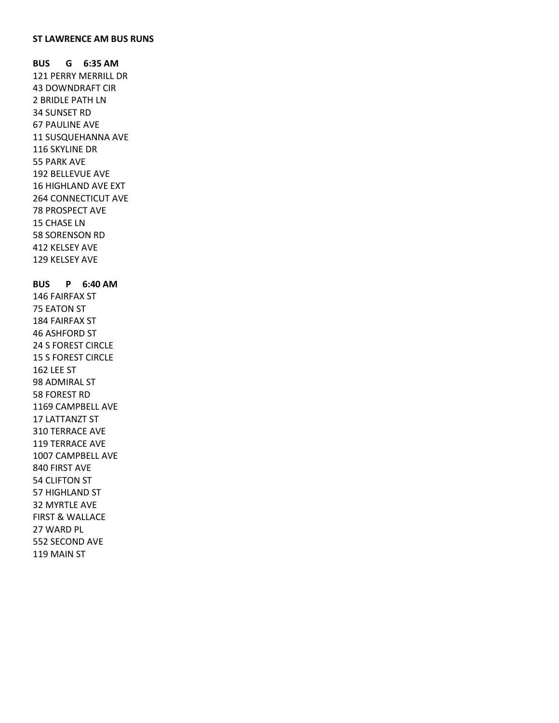### **ST LAWRENCE AM BUS RUNS**

**BUS G 6:35 AM** 121 PERRY MERRILL DR 43 DOWNDRAFT CIR 2 BRIDLE PATH LN 34 SUNSET RD 67 PAULINE AVE 11 SUSQUEHANNA AVE 116 SKYLINE DR 55 PARK AVE 192 BELLEVUE AVE 16 HIGHLAND AVE EXT 264 CONNECTICUT AVE 78 PROSPECT AVE 15 CHASE LN 58 SORENSON RD 412 KELSEY AVE 129 KELSEY AVE

**BUS P 6:40 AM** 146 FAIRFAX ST 75 EATON ST 184 FAIRFAX ST 46 ASHFORD ST 24 S FOREST CIRCLE 15 S FOREST CIRCLE 162 LEE ST 98 ADMIRAL ST 58 FOREST RD 1169 CAMPBELL AVE 17 LATTANZT ST 310 TERRACE AVE 119 TERRACE AVE 1007 CAMPBELL AVE 840 FIRST AVE 54 CLIFTON ST 57 HIGHLAND ST 32 MYRTLE AVE FIRST & WALLACE 27 WARD PL 552 SECOND AVE 119 MAIN ST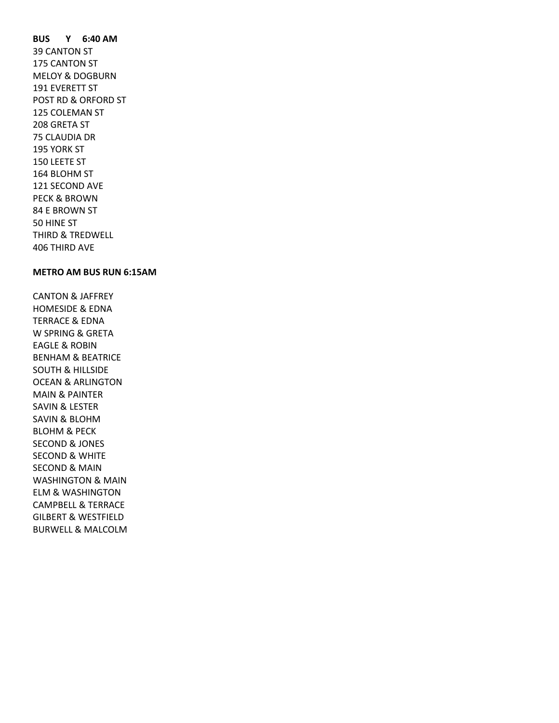**BUS Y 6:40 AM** 39 CANTON ST 175 CANTON ST MELOY & DOGBURN 191 EVERETT ST POST RD & ORFORD ST 125 COLEMAN ST 208 GRETA ST 75 CLAUDIA DR 195 YORK ST 150 LEETE ST 164 BLOHM ST 121 SECOND AVE PECK & BROWN 84 E BROWN ST 50 HINE ST THIRD & TREDWELL 406 THIRD AVE

### **METRO AM BUS RUN 6:15AM**

CANTON & JAFFREY HOMESIDE & EDNA TERRACE & EDNA W SPRING & GRETA EAGLE & ROBIN BENHAM & BEATRICE SOUTH & HILLSIDE OCEAN & ARLINGTON MAIN & PAINTER SAVIN & LESTER SAVIN & BLOHM BLOHM & PECK SECOND & JONES SECOND & WHITE SECOND & MAIN WASHINGTON & MAIN ELM & WASHINGTON CAMPBELL & TERRACE GILBERT & WESTFIELD BURWELL & MALCOLM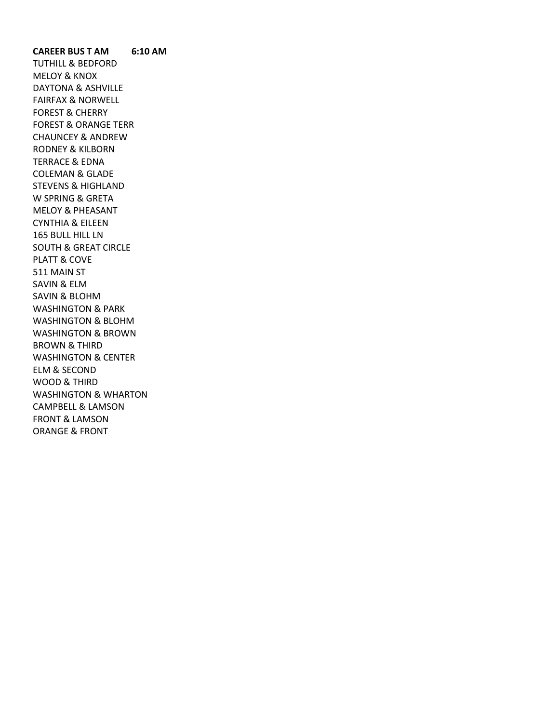**CAREER BUS T AM 6:10 AM** TUTHILL & BEDFORD MELOY & KNOX DAYTONA & ASHVILLE FAIRFAX & NORWELL FOREST & CHERRY FOREST & ORANGE TERR CHAUNCEY & ANDREW RODNEY & KILBORN TERRACE & EDNA COLEMAN & GLADE STEVENS & HIGHLAND W SPRING & GRETA MELOY & PHEASANT CYNTHIA & EILEEN 165 BULL HILL LN SOUTH & GREAT CIRCLE PLATT & COVE 511 MAIN ST SAVIN & ELM SAVIN & BLOHM WASHINGTON & PARK WASHINGTON & BLOHM WASHINGTON & BROWN BROWN & THIRD WASHINGTON & CENTER ELM & SECOND WOOD & THIRD WASHINGTON & WHARTON CAMPBELL & LAMSON FRONT & LAMSON ORANGE & FRONT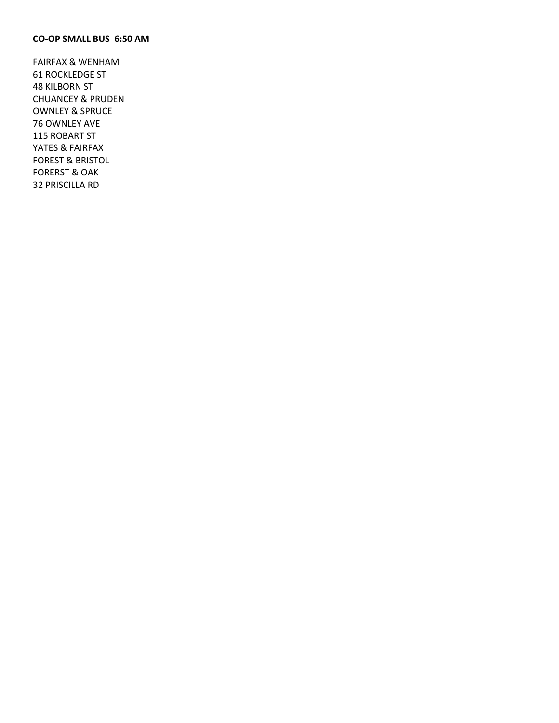## **CO-OP SMALL BUS 6:50 AM**

FAIRFAX & WENHAM 61 ROCKLEDGE ST 48 KILBORN ST CHUANCEY & PRUDEN OWNLEY & SPRUCE 76 OWNLEY AVE 115 ROBART ST YATES & FAIRFAX FOREST & BRISTOL FORERST & OAK 32 PRISCILLA RD